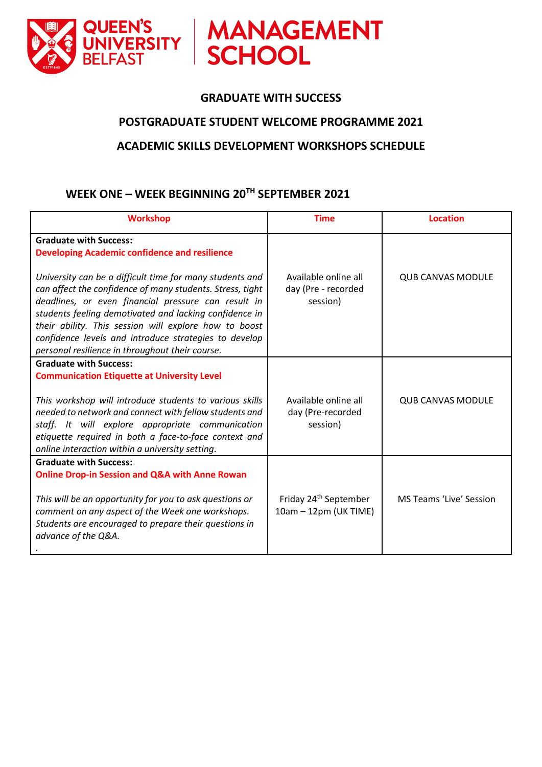

**QUEEN'S MANAGEMENT**<br>JNIVERSITY SCHOOL

## **GRADUATE WITH SUCCESS**

### **POSTGRADUATE STUDENT WELCOME PROGRAMME 2021**

#### **ACADEMIC SKILLS DEVELOPMENT WORKSHOPS SCHEDULE**

# **WEEK ONE – WEEK BEGINNING 20TH SEPTEMBER 2021**

| <b>Workshop</b>                                                                                                                                                                                                                                                                                                                                                                                             | <b>Time</b>                                                | <b>Location</b>                |
|-------------------------------------------------------------------------------------------------------------------------------------------------------------------------------------------------------------------------------------------------------------------------------------------------------------------------------------------------------------------------------------------------------------|------------------------------------------------------------|--------------------------------|
| <b>Graduate with Success:</b>                                                                                                                                                                                                                                                                                                                                                                               |                                                            |                                |
| <b>Developing Academic confidence and resilience</b>                                                                                                                                                                                                                                                                                                                                                        |                                                            |                                |
| University can be a difficult time for many students and<br>can affect the confidence of many students. Stress, tight<br>deadlines, or even financial pressure can result in<br>students feeling demotivated and lacking confidence in<br>their ability. This session will explore how to boost<br>confidence levels and introduce strategies to develop<br>personal resilience in throughout their course. | Available online all<br>day (Pre - recorded<br>session)    | <b>QUB CANVAS MODULE</b>       |
| <b>Graduate with Success:</b>                                                                                                                                                                                                                                                                                                                                                                               |                                                            |                                |
| <b>Communication Etiquette at University Level</b>                                                                                                                                                                                                                                                                                                                                                          |                                                            |                                |
| This workshop will introduce students to various skills<br>needed to network and connect with fellow students and<br>staff. It will explore appropriate communication<br>etiquette required in both a face-to-face context and<br>online interaction within a university setting.                                                                                                                           | Available online all<br>day (Pre-recorded<br>session)      | <b>QUB CANVAS MODULE</b>       |
| <b>Graduate with Success:</b>                                                                                                                                                                                                                                                                                                                                                                               |                                                            |                                |
| <b>Online Drop-in Session and Q&amp;A with Anne Rowan</b>                                                                                                                                                                                                                                                                                                                                                   |                                                            |                                |
| This will be an opportunity for you to ask questions or<br>comment on any aspect of the Week one workshops.<br>Students are encouraged to prepare their questions in<br>advance of the Q&A.                                                                                                                                                                                                                 | Friday 24 <sup>th</sup> September<br>10am - 12pm (UK TIME) | <b>MS Teams 'Live' Session</b> |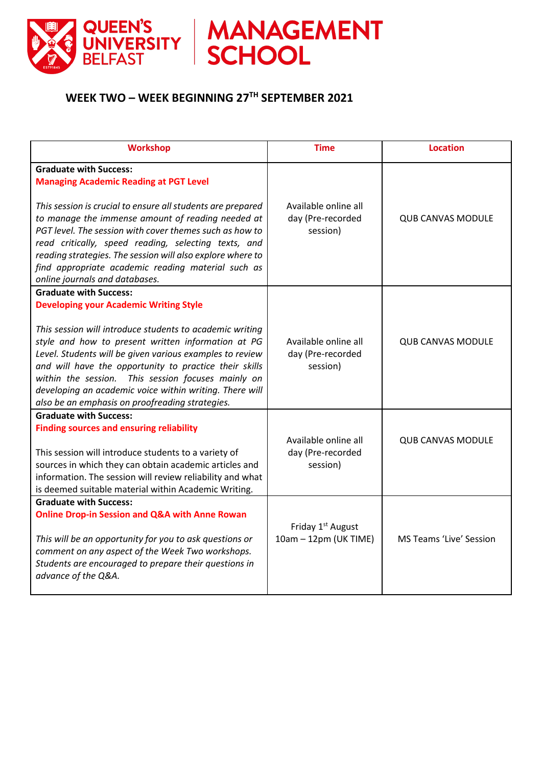

**QUEEN'S MANAGEMENT**<br>
MANAGEMENT<br>
BELFAST SCHOOL

## **WEEK TWO – WEEK BEGINNING 27 TH SEPTEMBER 2021**

| <b>Workshop</b>                                                                                                                                                                                                                                                                                                                                                                                          | <b>Time</b>                                           | <b>Location</b>                |
|----------------------------------------------------------------------------------------------------------------------------------------------------------------------------------------------------------------------------------------------------------------------------------------------------------------------------------------------------------------------------------------------------------|-------------------------------------------------------|--------------------------------|
| <b>Graduate with Success:</b><br><b>Managing Academic Reading at PGT Level</b>                                                                                                                                                                                                                                                                                                                           |                                                       |                                |
| This session is crucial to ensure all students are prepared<br>to manage the immense amount of reading needed at<br>PGT level. The session with cover themes such as how to<br>read critically, speed reading, selecting texts, and<br>reading strategies. The session will also explore where to<br>find appropriate academic reading material such as<br>online journals and databases.                | Available online all<br>day (Pre-recorded<br>session) | <b>OUB CANVAS MODULE</b>       |
| <b>Graduate with Success:</b><br><b>Developing your Academic Writing Style</b>                                                                                                                                                                                                                                                                                                                           |                                                       |                                |
| This session will introduce students to academic writing<br>style and how to present written information at PG<br>Level. Students will be given various examples to review<br>and will have the opportunity to practice their skills<br>within the session. This session focuses mainly on<br>developing an academic voice within writing. There will<br>also be an emphasis on proofreading strategies. | Available online all<br>day (Pre-recorded<br>session) | <b>QUB CANVAS MODULE</b>       |
| <b>Graduate with Success:</b><br><b>Finding sources and ensuring reliability</b><br>This session will introduce students to a variety of<br>sources in which they can obtain academic articles and<br>information. The session will review reliability and what<br>is deemed suitable material within Academic Writing.                                                                                  | Available online all<br>day (Pre-recorded<br>session) | <b>QUB CANVAS MODULE</b>       |
| <b>Graduate with Success:</b><br><b>Online Drop-in Session and Q&amp;A with Anne Rowan</b><br>This will be an opportunity for you to ask questions or<br>comment on any aspect of the Week Two workshops.<br>Students are encouraged to prepare their questions in<br>advance of the Q&A.                                                                                                                | Friday 1st August<br>10am - 12pm (UK TIME)            | <b>MS Teams 'Live' Session</b> |